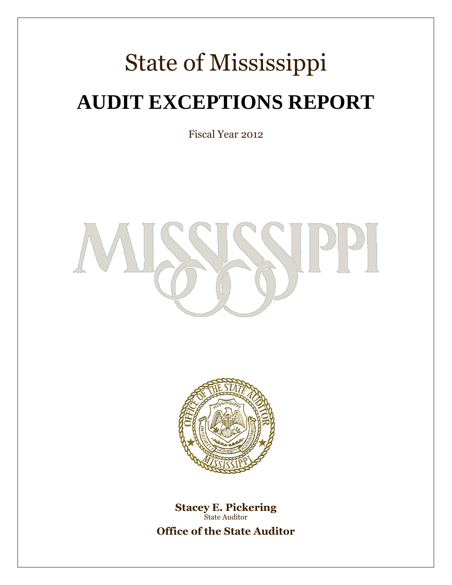# State of Mississippi **AUDIT EXCEPTIONS REPORT**

Fiscal Year 2012





**Stacey E. Pickering** State Auditor

**Office of the State Auditor**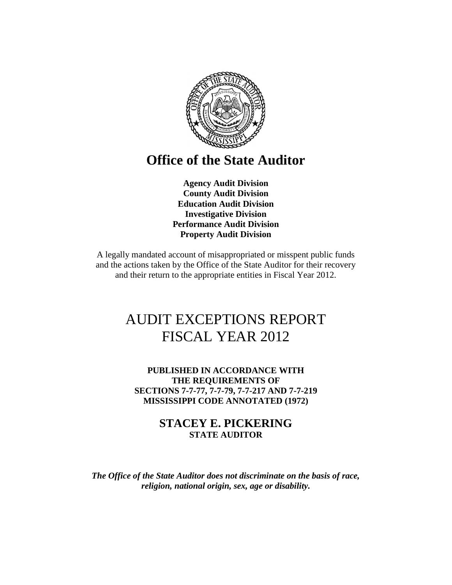

## **Office of the State Auditor**

**Agency Audit Division County Audit Division Education Audit Division Investigative Division Performance Audit Division Property Audit Division**

A legally mandated account of misappropriated or misspent public funds and the actions taken by the Office of the State Auditor for their recovery and their return to the appropriate entities in Fiscal Year 2012.

## AUDIT EXCEPTIONS REPORT FISCAL YEAR 2012

**PUBLISHED IN ACCORDANCE WITH THE REQUIREMENTS OF SECTIONS 7-7-77, 7-7-79, 7-7-217 AND 7-7-219 MISSISSIPPI CODE ANNOTATED (1972)**

> **STACEY E. PICKERING STATE AUDITOR**

*The Office of the State Auditor does not discriminate on the basis of race, religion, national origin, sex, age or disability.*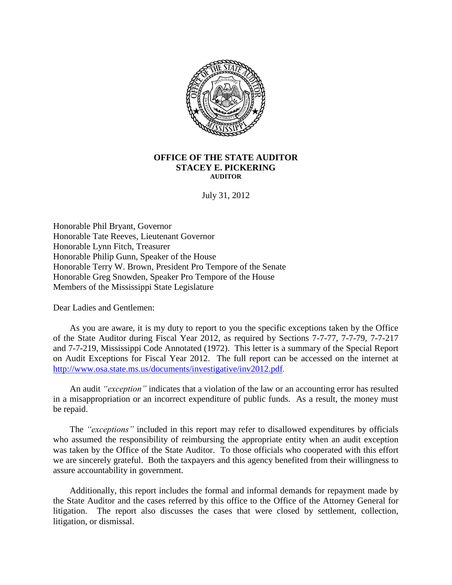

#### **OFFICE OF THE STATE AUDITOR STACEY E. PICKERING AUDITOR**

July 31, 2012

Honorable Phil Bryant, Governor Honorable Tate Reeves, Lieutenant Governor Honorable Lynn Fitch, Treasurer Honorable Philip Gunn, Speaker of the House Honorable Terry W. Brown, President Pro Tempore of the Senate Honorable Greg Snowden, Speaker Pro Tempore of the House Members of the Mississippi State Legislature

Dear Ladies and Gentlemen:

As you are aware, it is my duty to report to you the specific exceptions taken by the Office of the State Auditor during Fiscal Year 2012, as required by Sections 7-7-77, 7-7-79, 7-7-217 and 7-7-219, Mississippi Code Annotated (1972). This letter is a summary of the Special Report on Audit Exceptions for Fiscal Year 2012. The full report can be accessed on the internet at <http://www.osa.state.ms.us/documents/investigative/inv2012.pdf>.

An audit *"exception"* indicates that a violation of the law or an accounting error has resulted in a misappropriation or an incorrect expenditure of public funds. As a result, the money must be repaid.

The *"exceptions"* included in this report may refer to disallowed expenditures by officials who assumed the responsibility of reimbursing the appropriate entity when an audit exception was taken by the Office of the State Auditor. To those officials who cooperated with this effort we are sincerely grateful. Both the taxpayers and this agency benefited from their willingness to assure accountability in government.

Additionally, this report includes the formal and informal demands for repayment made by the State Auditor and the cases referred by this office to the Office of the Attorney General for litigation. The report also discusses the cases that were closed by settlement, collection, litigation, or dismissal.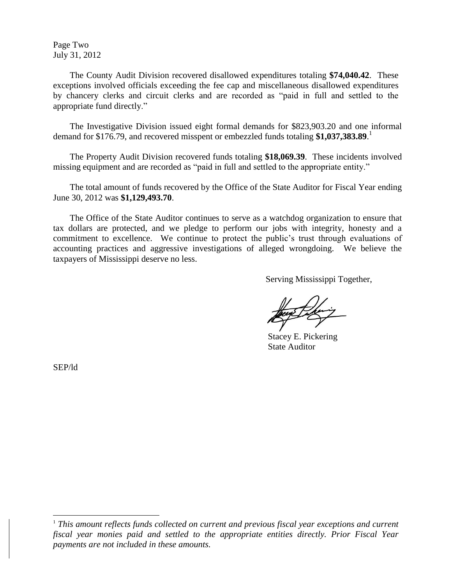Page Two July 31, 2012

The County Audit Division recovered disallowed expenditures totaling **\$74,040.42**. These exceptions involved officials exceeding the fee cap and miscellaneous disallowed expenditures by chancery clerks and circuit clerks and are recorded as "paid in full and settled to the appropriate fund directly."

The Investigative Division issued eight formal demands for \$823,903.20 and one informal demand for \$176.79, and recovered misspent or embezzled funds totaling **\$1,037,383.89**. 1

The Property Audit Division recovered funds totaling **\$18,069.39**. These incidents involved missing equipment and are recorded as "paid in full and settled to the appropriate entity."

The total amount of funds recovered by the Office of the State Auditor for Fiscal Year ending June 30, 2012 was **\$1,129,493.70**.

The Office of the State Auditor continues to serve as a watchdog organization to ensure that tax dollars are protected, and we pledge to perform our jobs with integrity, honesty and a commitment to excellence. We continue to protect the public's trust through evaluations of accounting practices and aggressive investigations of alleged wrongdoing. We believe the taxpayers of Mississippi deserve no less.

Serving Mississippi Together,

 Stacey E. Pickering State Auditor

SEP/ld

 $\overline{a}$ 

<sup>1</sup> *This amount reflects funds collected on current and previous fiscal year exceptions and current fiscal year monies paid and settled to the appropriate entities directly. Prior Fiscal Year payments are not included in these amounts.*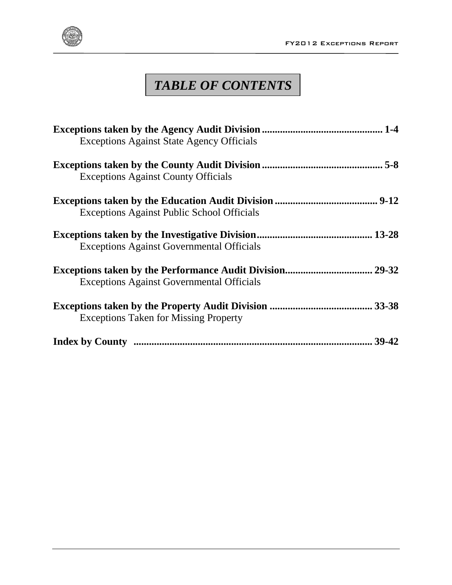

## *TABLE OF CONTENTS*

| <b>Exceptions Against State Agency Officials</b>  |         |
|---------------------------------------------------|---------|
| <b>Exceptions Against County Officials</b>        |         |
| <b>Exceptions Against Public School Officials</b> |         |
| <b>Exceptions Against Governmental Officials</b>  |         |
|                                                   |         |
| <b>Exceptions Against Governmental Officials</b>  |         |
| <b>Exceptions Taken for Missing Property</b>      | . 39-42 |
|                                                   |         |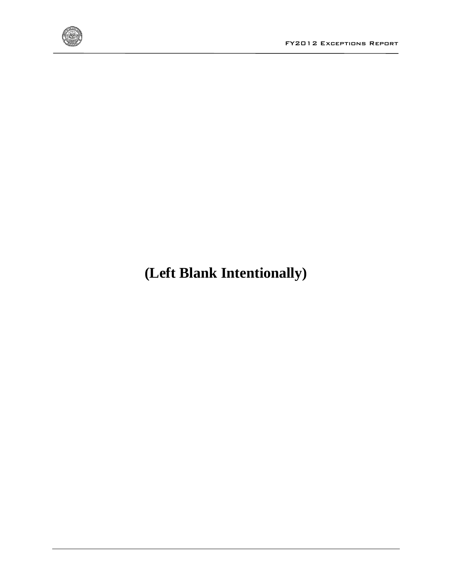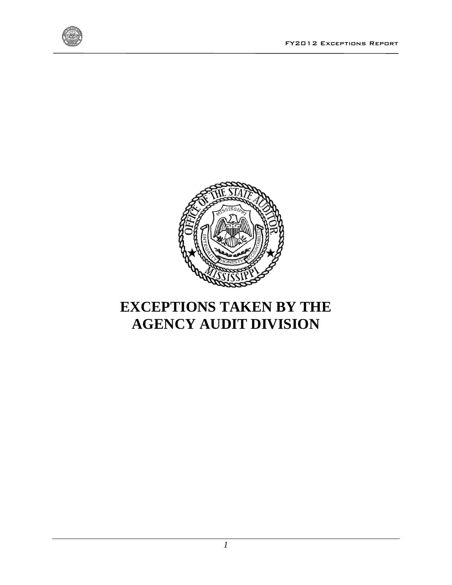





## **EXCEPTIONS TAKEN BY THE AGENCY AUDIT DIVISION**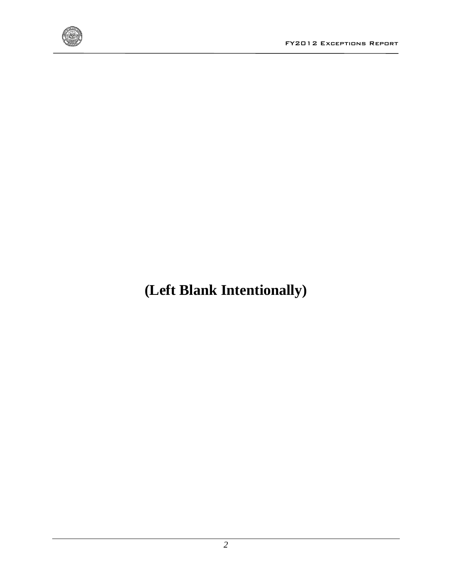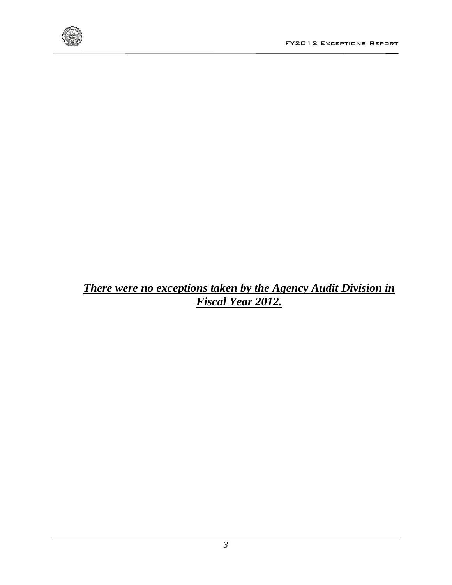

*There were no exceptions taken by the Agency Audit Division in Fiscal Year 2012.*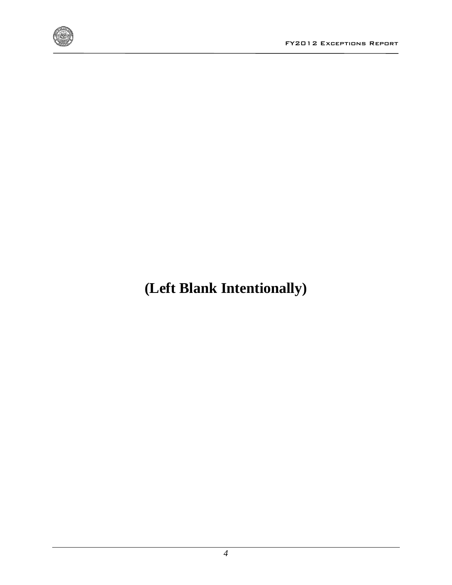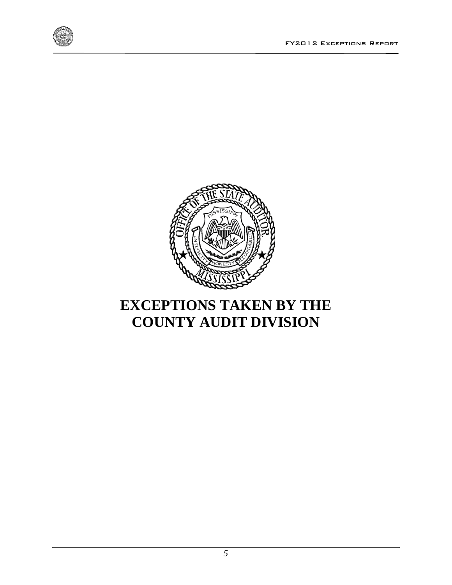





## **EXCEPTIONS TAKEN BY THE COUNTY AUDIT DIVISION**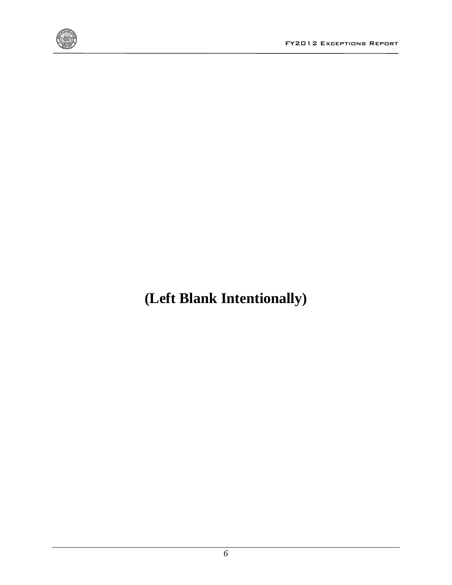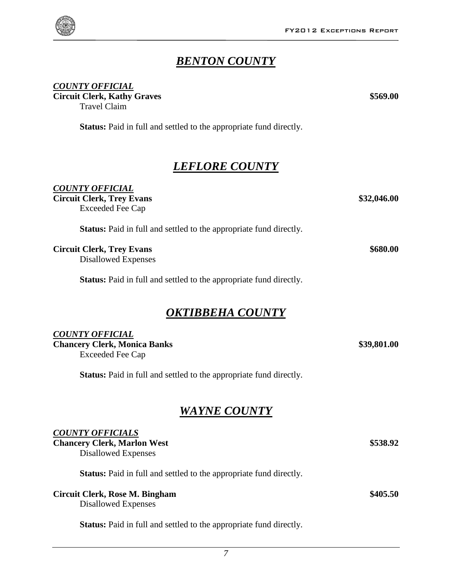

### *BENTON COUNTY*

#### *COUNTY OFFICIAL* **Circuit Clerk, Kathy Graves \$569.00**

Travel Claim

Status: Paid in full and settled to the appropriate fund directly.

### *LEFLORE COUNTY*

| <b>COUNTY OFFICIAL</b><br><b>Circuit Clerk, Trey Evans</b><br><b>Exceeded Fee Cap</b>                                                                                 | \$32,046.00 |
|-----------------------------------------------------------------------------------------------------------------------------------------------------------------------|-------------|
| <b>Status:</b> Paid in full and settled to the appropriate fund directly.                                                                                             |             |
| <b>Circuit Clerk, Trey Evans</b><br><b>Disallowed Expenses</b>                                                                                                        | \$680.00    |
| <b>Status:</b> Paid in full and settled to the appropriate fund directly.                                                                                             |             |
| OKTIBBEHA COUNTY                                                                                                                                                      |             |
| <b>COUNTY OFFICIAL</b><br><b>Chancery Clerk, Monica Banks</b><br><b>Exceeded Fee Cap</b><br><b>Status:</b> Paid in full and settled to the appropriate fund directly. | \$39,801.00 |
| <b>WAYNE COUNTY</b>                                                                                                                                                   |             |
| <b>COUNTY OFFICIALS</b><br><b>Chancery Clerk, Marlon West</b><br><b>Disallowed Expenses</b>                                                                           | \$538.92    |
| <b>Status:</b> Paid in full and settled to the appropriate fund directly.                                                                                             |             |
| <b>Circuit Clerk, Rose M. Bingham</b><br><b>Disallowed Expenses</b>                                                                                                   | \$405.50    |
| <b>Status:</b> Paid in full and settled to the appropriate fund directly.                                                                                             |             |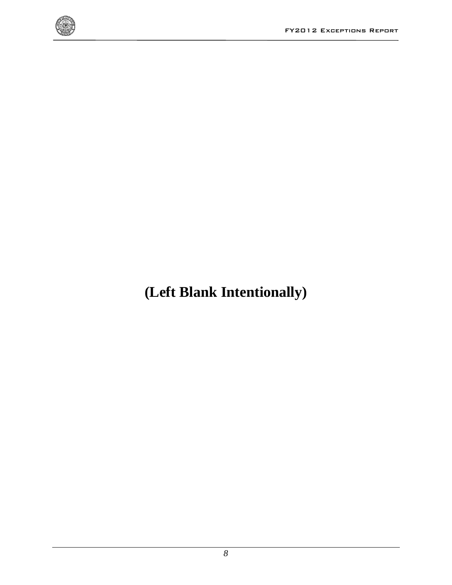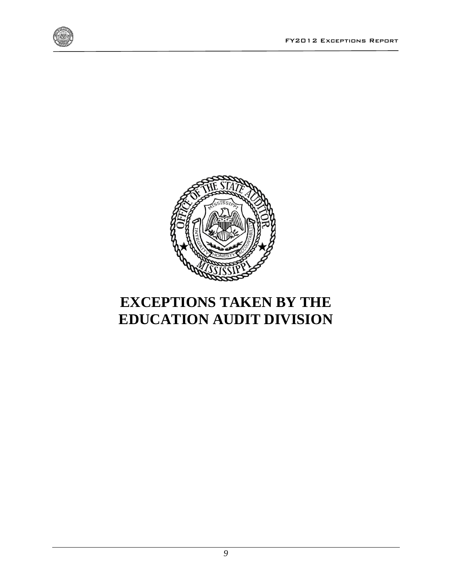





## **EXCEPTIONS TAKEN BY THE EDUCATION AUDIT DIVISION**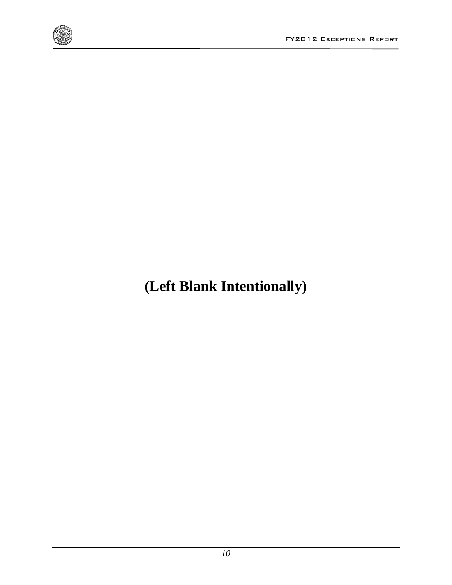

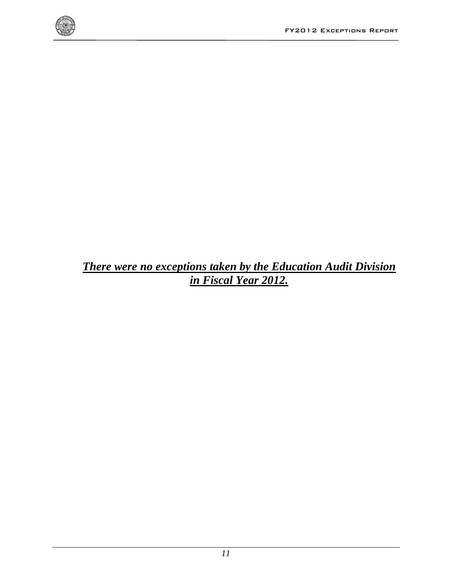

### *There were no exceptions taken by the Education Audit Division in Fiscal Year 2012.*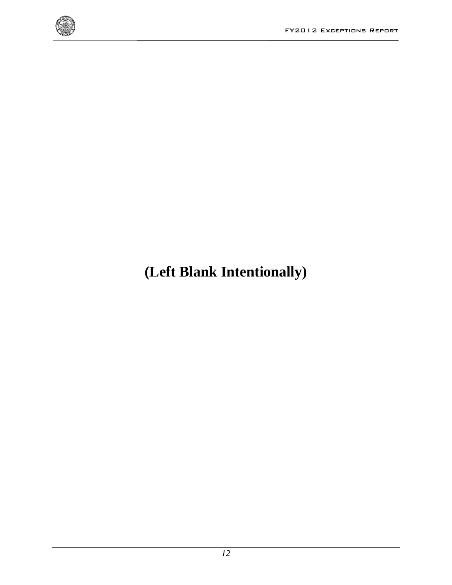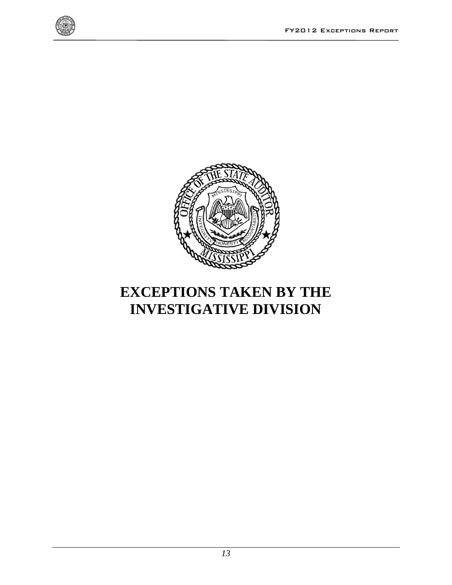



## **EXCEPTIONS TAKEN BY THE INVESTIGATIVE DIVISION**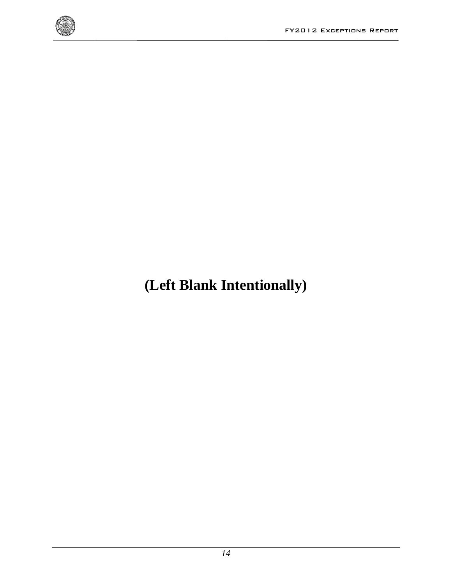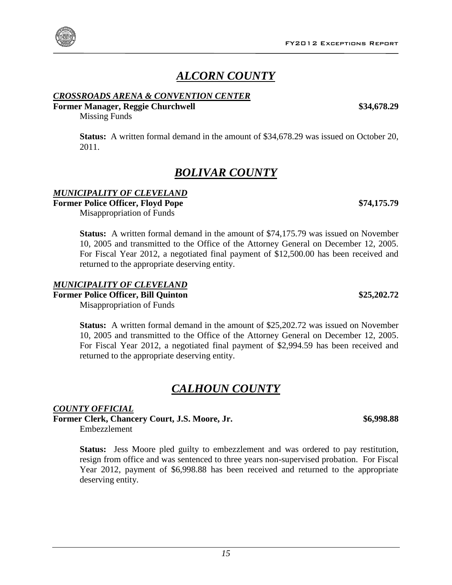### *ALCORN COUNTY*

#### *CROSSROADS ARENA & CONVENTION CENTER*

**Former Manager, Reggie Churchwell \$34,678.29** Missing Funds

**Status:** A written formal demand in the amount of \$34,678.29 was issued on October 20, 2011.

### *BOLIVAR COUNTY*

#### *MUNICIPALITY OF CLEVELAND*

**Former Police Officer, Floyd Pope**   $$74,175.79$ Misappropriation of Funds

**Status:** A written formal demand in the amount of \$74,175.79 was issued on November 10, 2005 and transmitted to the Office of the Attorney General on December 12, 2005. For Fiscal Year 2012, a negotiated final payment of \$12,500.00 has been received and returned to the appropriate deserving entity.

#### *MUNICIPALITY OF CLEVELAND*

**Former Police Officer, Bill Quinton \$25,202.72**

Misappropriation of Funds

**Status:** A written formal demand in the amount of \$25,202.72 was issued on November 10, 2005 and transmitted to the Office of the Attorney General on December 12, 2005. For Fiscal Year 2012, a negotiated final payment of \$2,994.59 has been received and returned to the appropriate deserving entity.

### *CALHOUN COUNTY*

#### *COUNTY OFFICIAL*

**Former Clerk, Chancery Court, J.S. Moore, Jr. \$6,998.88**

Embezzlement

**Status:** Jess Moore pled guilty to embezzlement and was ordered to pay restitution, resign from office and was sentenced to three years non-supervised probation. For Fiscal Year 2012, payment of \$6,998.88 has been received and returned to the appropriate deserving entity.



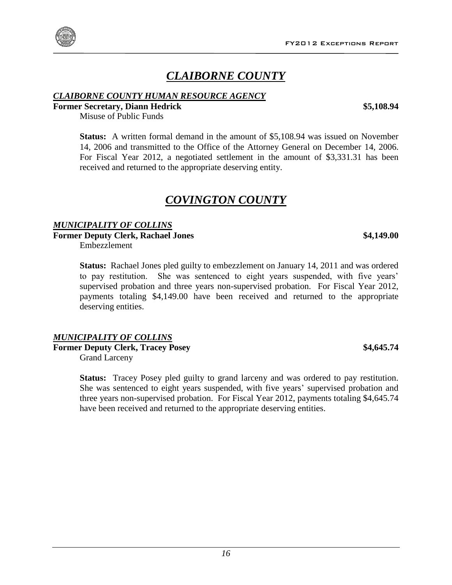### *CLAIBORNE COUNTY*

#### *CLAIBORNE COUNTY HUMAN RESOURCE AGENCY*

**Former Secretary, Diann Hedrick \$5,108.94**

Misuse of Public Funds

**Status:** A written formal demand in the amount of \$5,108.94 was issued on November 14, 2006 and transmitted to the Office of the Attorney General on December 14, 2006. For Fiscal Year 2012, a negotiated settlement in the amount of \$3,331.31 has been received and returned to the appropriate deserving entity.

### *COVINGTON COUNTY*

#### *MUNICIPALITY OF COLLINS*

**Former Deputy Clerk, Rachael Jones \$4,149.00**

Embezzlement

**Status:** Rachael Jones pled guilty to embezzlement on January 14, 2011 and was ordered to pay restitution. She was sentenced to eight years suspended, with five years' supervised probation and three years non-supervised probation. For Fiscal Year 2012, payments totaling \$4,149.00 have been received and returned to the appropriate deserving entities.

#### *MUNICIPALITY OF COLLINS*

**Former Deputy Clerk, Tracey Posey \$4,645.74** 

Grand Larceny

**Status:** Tracey Posey pled guilty to grand larceny and was ordered to pay restitution. She was sentenced to eight years suspended, with five years' supervised probation and three years non-supervised probation. For Fiscal Year 2012, payments totaling \$4,645.74 have been received and returned to the appropriate deserving entities.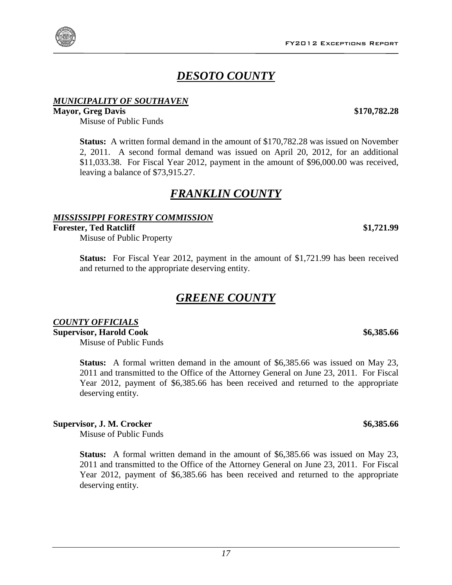### *DESOTO COUNTY*

#### *MUNICIPALITY OF SOUTHAVEN*

**Mayor, Greg Davis \$170,782.28**

Misuse of Public Funds

**Status:** A written formal demand in the amount of \$170,782.28 was issued on November 2, 2011. A second formal demand was issued on April 20, 2012, for an additional \$11,033.38. For Fiscal Year 2012, payment in the amount of \$96,000.00 was received, leaving a balance of \$73,915.27.

### *FRANKLIN COUNTY*

#### *MISSISSIPPI FORESTRY COMMISSION*

**Forester, Ted Ratcliff \$1,721.99**

Misuse of Public Property

**Status:** For Fiscal Year 2012, payment in the amount of \$1,721.99 has been received and returned to the appropriate deserving entity.

### *GREENE COUNTY*

*COUNTY OFFICIALS* **Supervisor, Harold Cook \$6,385.66** Misuse of Public Funds

**Status:** A formal written demand in the amount of \$6,385.66 was issued on May 23, 2011 and transmitted to the Office of the Attorney General on June 23, 2011. For Fiscal Year 2012, payment of \$6,385.66 has been received and returned to the appropriate deserving entity.

#### **Supervisor, J. M. Crocker \$6,385.66**

Misuse of Public Funds

**Status:** A formal written demand in the amount of \$6,385.66 was issued on May 23, 2011 and transmitted to the Office of the Attorney General on June 23, 2011. For Fiscal Year 2012, payment of \$6,385.66 has been received and returned to the appropriate deserving entity.

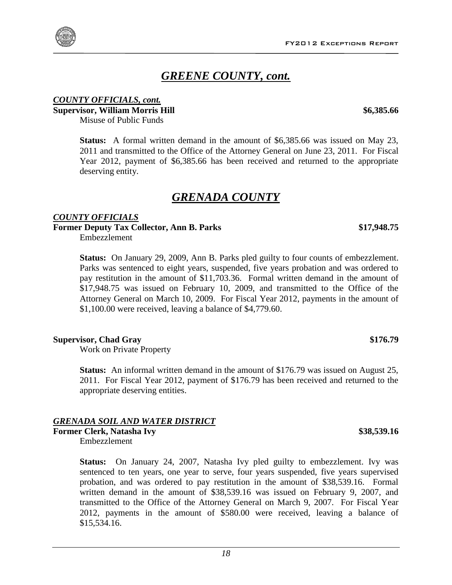### *GREENE COUNTY, cont.*

### *COUNTY OFFICIALS, cont.*

### **Supervisor, William Morris Hill \$6,385.66**

Misuse of Public Funds

**Status:** A formal written demand in the amount of \$6,385.66 was issued on May 23, 2011 and transmitted to the Office of the Attorney General on June 23, 2011. For Fiscal Year 2012, payment of \$6,385.66 has been received and returned to the appropriate deserving entity.

### *GRENADA COUNTY*

#### *COUNTY OFFICIALS*

#### **Former Deputy Tax Collector, Ann B. Parks \$17,948.75**

Embezzlement

**Status:** On January 29, 2009, Ann B. Parks pled guilty to four counts of embezzlement. Parks was sentenced to eight years, suspended, five years probation and was ordered to pay restitution in the amount of \$11,703.36. Formal written demand in the amount of \$17,948.75 was issued on February 10, 2009, and transmitted to the Office of the Attorney General on March 10, 2009. For Fiscal Year 2012, payments in the amount of \$1,100.00 were received, leaving a balance of \$4,779.60.

#### **Supervisor, Chad Gray \$176.79**

Work on Private Property

**Status:** An informal written demand in the amount of \$176.79 was issued on August 25, 2011. For Fiscal Year 2012, payment of \$176.79 has been received and returned to the appropriate deserving entities.

#### *GRENADA SOIL AND WATER DISTRICT*

**Former Clerk, Natasha Ivy \$38,539.16** 

Embezzlement

**Status:** On January 24, 2007, Natasha Ivy pled guilty to embezzlement. Ivy was sentenced to ten years, one year to serve, four years suspended, five years supervised probation, and was ordered to pay restitution in the amount of \$38,539.16. Formal written demand in the amount of \$38,539.16 was issued on February 9, 2007, and transmitted to the Office of the Attorney General on March 9, 2007. For Fiscal Year 2012, payments in the amount of \$580.00 were received, leaving a balance of \$15,534.16.



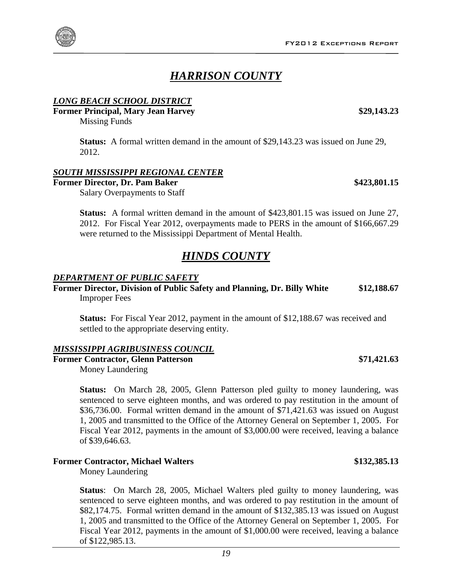FY2012 Exceptions Report

## *LONG BEACH SCHOOL DISTRICT*

**Former Principal, Mary Jean Harvey <b>\$29,143.23** 

Missing Funds

**Status:** A formal written demand in the amount of \$29,143.23 was issued on June 29, 2012.

*HARRISON COUNTY*

#### *SOUTH MISSISSIPPI REGIONAL CENTER*

**Former Director, Dr. Pam Baker \$423,801.15** Salary Overpayments to Staff

**Status:** A formal written demand in the amount of \$423,801.15 was issued on June 27, 2012. For Fiscal Year 2012, overpayments made to PERS in the amount of \$166,667.29 were returned to the Mississippi Department of Mental Health.

### *HINDS COUNTY*

#### *DEPARTMENT OF PUBLIC SAFETY*

**Former Director, Division of Public Safety and Planning, Dr. Billy White \$12,188.67** Improper Fees

**Status:** For Fiscal Year 2012, payment in the amount of \$12,188.67 was received and settled to the appropriate deserving entity.

#### *MISSISSIPPI AGRIBUSINESS COUNCIL*

**Former Contractor, Glenn Patterson \$71,421.63** Money Laundering

**Status:** On March 28, 2005, Glenn Patterson pled guilty to money laundering, was sentenced to serve eighteen months, and was ordered to pay restitution in the amount of \$36,736.00. Formal written demand in the amount of \$71,421.63 was issued on August 1, 2005 and transmitted to the Office of the Attorney General on September 1, 2005. For Fiscal Year 2012, payments in the amount of \$3,000.00 were received, leaving a balance of \$39,646.63.

#### **Former Contractor, Michael Walters \$132,385.13**

Money Laundering

**Status**: On March 28, 2005, Michael Walters pled guilty to money laundering, was sentenced to serve eighteen months, and was ordered to pay restitution in the amount of \$82,174.75. Formal written demand in the amount of \$132,385.13 was issued on August 1, 2005 and transmitted to the Office of the Attorney General on September 1, 2005. For Fiscal Year 2012, payments in the amount of \$1,000.00 were received, leaving a balance of \$122,985.13.

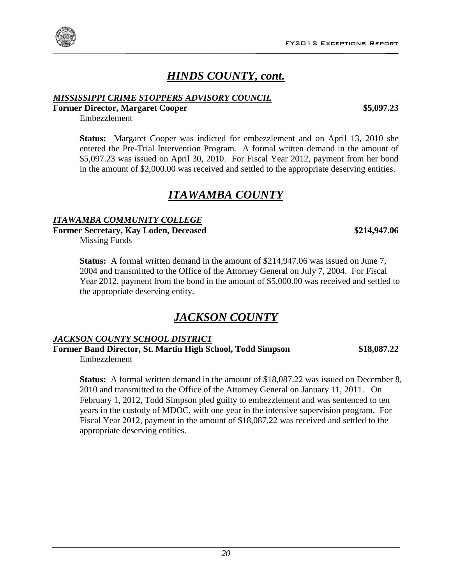### *HINDS COUNTY, cont.*

#### *MISSISSIPPI CRIME STOPPERS ADVISORY COUNCIL*

**Former Director, Margaret Cooper \$5,097.23** Embezzlement

**Status:** Margaret Cooper was indicted for embezzlement and on April 13, 2010 she entered the Pre-Trial Intervention Program. A formal written demand in the amount of \$5,097.23 was issued on April 30, 2010. For Fiscal Year 2012, payment from her bond in the amount of \$2,000.00 was received and settled to the appropriate deserving entities.

### *ITAWAMBA COUNTY*

#### *ITAWAMBA COMMUNITY COLLEGE*

**Former Secretary, Kay Loden, Deceased \$214,947.06**

Missing Funds

**Status:** A formal written demand in the amount of \$214,947.06 was issued on June 7, 2004 and transmitted to the Office of the Attorney General on July 7, 2004. For Fiscal Year 2012, payment from the bond in the amount of \$5,000.00 was received and settled to the appropriate deserving entity.

### *JACKSON COUNTY*

#### *JACKSON COUNTY SCHOOL DISTRICT*

**Former Band Director, St. Martin High School, Todd Simpson \$18,087.22** Embezzlement

**Status:** A formal written demand in the amount of \$18,087.22 was issued on December 8, 2010 and transmitted to the Office of the Attorney General on January 11, 2011. On February 1, 2012, Todd Simpson pled guilty to embezzlement and was sentenced to ten years in the custody of MDOC, with one year in the intensive supervision program. For Fiscal Year 2012, payment in the amount of \$18,087.22 was received and settled to the appropriate deserving entities.

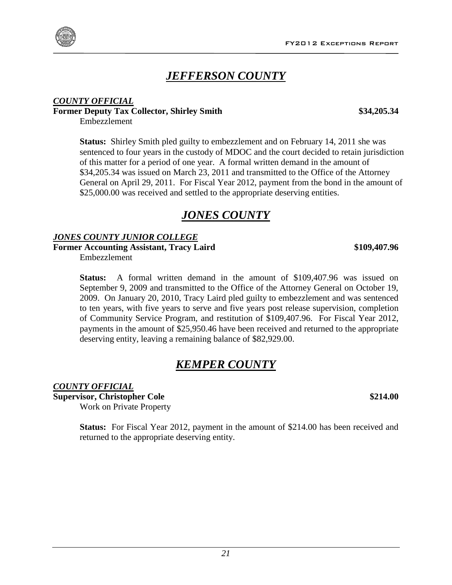## *JEFFERSON COUNTY*

### *COUNTY OFFICIAL* **Former Deputy Tax Collector, Shirley Smith \$34,205.34**

Embezzlement

**Status:** Shirley Smith pled guilty to embezzlement and on February 14, 2011 she was sentenced to four years in the custody of MDOC and the court decided to retain jurisdiction of this matter for a period of one year. A formal written demand in the amount of \$34,205.34 was issued on March 23, 2011 and transmitted to the Office of the Attorney General on April 29, 2011. For Fiscal Year 2012, payment from the bond in the amount of \$25,000.00 was received and settled to the appropriate deserving entities.

### *JONES COUNTY*

#### *JONES COUNTY JUNIOR COLLEGE*

**Former Accounting Assistant, Tracy Laird \$109,407.96**

Embezzlement

**Status:** A formal written demand in the amount of \$109,407.96 was issued on September 9, 2009 and transmitted to the Office of the Attorney General on October 19, 2009. On January 20, 2010, Tracy Laird pled guilty to embezzlement and was sentenced to ten years, with five years to serve and five years post release supervision, completion of Community Service Program, and restitution of \$109,407.96. For Fiscal Year 2012, payments in the amount of \$25,950.46 have been received and returned to the appropriate deserving entity, leaving a remaining balance of \$82,929.00.

## *KEMPER COUNTY*

*COUNTY OFFICIAL* **Supervisor, Christopher Cole \$214.00**

Work on Private Property

**Status:** For Fiscal Year 2012, payment in the amount of \$214.00 has been received and returned to the appropriate deserving entity.

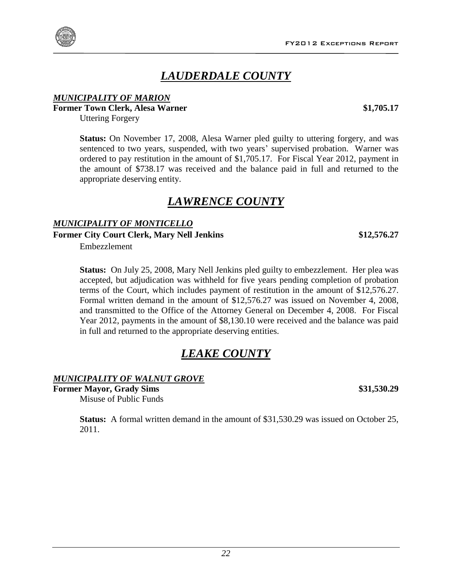### *LAUDERDALE COUNTY*

#### *MUNICIPALITY OF MARION*

**Former Town Clerk, Alesa Warner \$1,705.17** Uttering Forgery

**Status:** On November 17, 2008, Alesa Warner pled guilty to uttering forgery, and was sentenced to two years, suspended, with two years' supervised probation. Warner was ordered to pay restitution in the amount of \$1,705.17. For Fiscal Year 2012, payment in the amount of \$738.17 was received and the balance paid in full and returned to the appropriate deserving entity.

### *LAWRENCE COUNTY*

#### *MUNICIPALITY OF MONTICELLO*

**Former City Court Clerk, Mary Nell Jenkins \$12,576.27**

Embezzlement

**Status:** On July 25, 2008, Mary Nell Jenkins pled guilty to embezzlement. Her plea was accepted, but adjudication was withheld for five years pending completion of probation terms of the Court, which includes payment of restitution in the amount of \$12,576.27. Formal written demand in the amount of \$12,576.27 was issued on November 4, 2008, and transmitted to the Office of the Attorney General on December 4, 2008. For Fiscal Year 2012, payments in the amount of \$8,130.10 were received and the balance was paid in full and returned to the appropriate deserving entities.

### *LEAKE COUNTY*

#### *MUNICIPALITY OF WALNUT GROVE*

**Former Mayor, Grady Sims \$31,530.29**

Misuse of Public Funds

**Status:** A formal written demand in the amount of \$31,530.29 was issued on October 25, 2011.

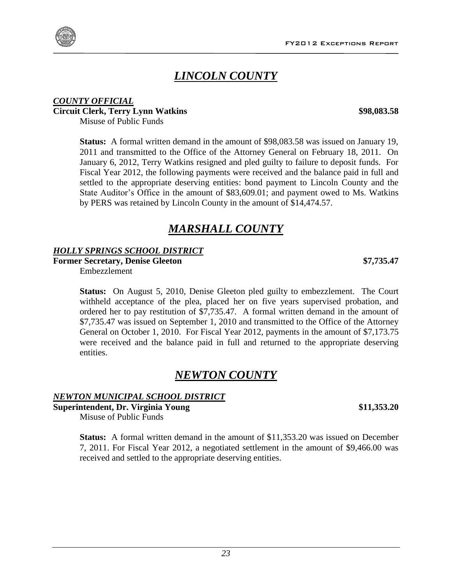### *LINCOLN COUNTY*

#### *COUNTY OFFICIAL* **Circuit Clerk, Terry Lynn Watkins \$98,083.58** Misuse of Public Funds

**Status:** A formal written demand in the amount of \$98,083.58 was issued on January 19, 2011 and transmitted to the Office of the Attorney General on February 18, 2011. On January 6, 2012, Terry Watkins resigned and pled guilty to failure to deposit funds. For Fiscal Year 2012, the following payments were received and the balance paid in full and settled to the appropriate deserving entities: bond payment to Lincoln County and the State Auditor's Office in the amount of \$83,609.01; and payment owed to Ms. Watkins by PERS was retained by Lincoln County in the amount of \$14,474.57.

### *MARSHALL COUNTY*

#### *HOLLY SPRINGS SCHOOL DISTRICT*

**Former Secretary, Denise Gleeton \$7,735.47**

Embezzlement

**Status:** On August 5, 2010, Denise Gleeton pled guilty to embezzlement. The Court withheld acceptance of the plea, placed her on five years supervised probation, and ordered her to pay restitution of \$7,735.47. A formal written demand in the amount of \$7,735.47 was issued on September 1, 2010 and transmitted to the Office of the Attorney General on October 1, 2010. For Fiscal Year 2012, payments in the amount of \$7,173.75 were received and the balance paid in full and returned to the appropriate deserving entities.

### *NEWTON COUNTY*

#### *NEWTON MUNICIPAL SCHOOL DISTRICT*

**Superintendent, Dr. Virginia Young \$11,353.20** Misuse of Public Funds

**Status:** A formal written demand in the amount of \$11,353.20 was issued on December 7, 2011. For Fiscal Year 2012, a negotiated settlement in the amount of \$9,466.00 was received and settled to the appropriate deserving entities.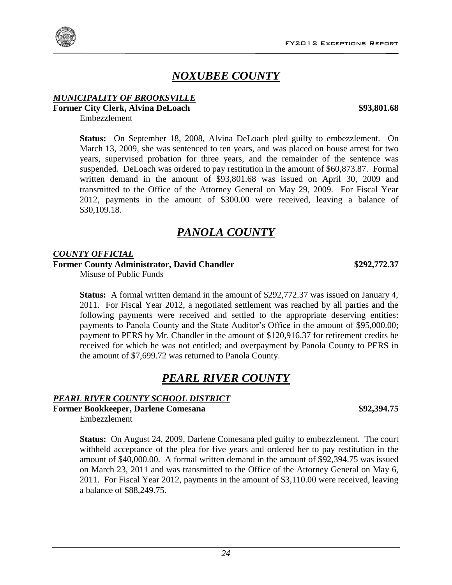### *NOXUBEE COUNTY*

#### *MUNICIPALITY OF BROOKSVILLE*

Embezzlement

**Status:** On September 18, 2008, Alvina DeLoach pled guilty to embezzlement. On March 13, 2009, she was sentenced to ten years, and was placed on house arrest for two years, supervised probation for three years, and the remainder of the sentence was suspended. DeLoach was ordered to pay restitution in the amount of \$60,873.87. Formal written demand in the amount of \$93,801.68 was issued on April 30, 2009 and transmitted to the Office of the Attorney General on May 29, 2009. For Fiscal Year 2012, payments in the amount of \$300.00 were received, leaving a balance of \$30,109.18.

### *PANOLA COUNTY*

#### *COUNTY OFFICIAL*

**Former County Administrator, David Chandler \$292,772.37** 

Misuse of Public Funds

**Status:** A formal written demand in the amount of \$292,772.37 was issued on January 4, 2011. For Fiscal Year 2012, a negotiated settlement was reached by all parties and the following payments were received and settled to the appropriate deserving entities: payments to Panola County and the State Auditor's Office in the amount of \$95,000.00; payment to PERS by Mr. Chandler in the amount of \$120,916.37 for retirement credits he received for which he was not entitled; and overpayment by Panola County to PERS in the amount of \$7,699.72 was returned to Panola County.

### *PEARL RIVER COUNTY*

#### *PEARL RIVER COUNTY SCHOOL DISTRICT*

**Former Bookkeeper, Darlene Comesana \$92,394.75** Embezzlement

**Status:** On August 24, 2009, Darlene Comesana pled guilty to embezzlement. The court withheld acceptance of the plea for five years and ordered her to pay restitution in the amount of \$40,000.00. A formal written demand in the amount of \$92,394.75 was issued on March 23, 2011 and was transmitted to the Office of the Attorney General on May 6, 2011. For Fiscal Year 2012, payments in the amount of \$3,110.00 were received, leaving a balance of \$88,249.75.

Former City Clerk, Alvina DeLoach **\$93,801.68**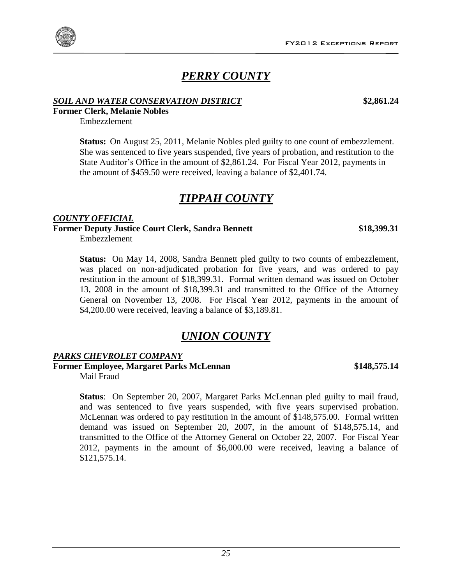### *PERRY COUNTY*

#### *SOIL AND WATER CONSERVATION DISTRICT* **\$2,861.24**

**Former Clerk, Melanie Nobles**

Embezzlement

**Status:** On August 25, 2011, Melanie Nobles pled guilty to one count of embezzlement. She was sentenced to five years suspended, five years of probation, and restitution to the State Auditor's Office in the amount of \$2,861.24. For Fiscal Year 2012, payments in the amount of \$459.50 were received, leaving a balance of \$2,401.74.

### *TIPPAH COUNTY*

#### *COUNTY OFFICIAL*

**Former Deputy Justice Court Clerk, Sandra Bennett \$18,399.31** Embezzlement

**Status:** On May 14, 2008, Sandra Bennett pled guilty to two counts of embezzlement, was placed on non-adjudicated probation for five years, and was ordered to pay restitution in the amount of \$18,399.31. Formal written demand was issued on October 13, 2008 in the amount of \$18,399.31 and transmitted to the Office of the Attorney General on November 13, 2008. For Fiscal Year 2012, payments in the amount of \$4,200.00 were received, leaving a balance of \$3,189.81.

### *UNION COUNTY*

#### *PARKS CHEVROLET COMPANY*

**Former Employee, Margaret Parks McLennan \$148,575.14** Mail Fraud

**Status**: On September 20, 2007, Margaret Parks McLennan pled guilty to mail fraud, and was sentenced to five years suspended, with five years supervised probation. McLennan was ordered to pay restitution in the amount of \$148,575.00. Formal written demand was issued on September 20, 2007, in the amount of \$148,575.14, and transmitted to the Office of the Attorney General on October 22, 2007. For Fiscal Year 2012, payments in the amount of \$6,000.00 were received, leaving a balance of \$121,575.14.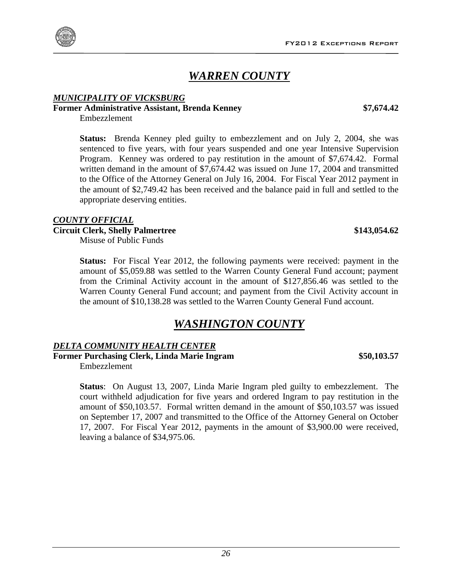### *WARREN COUNTY*

### *MUNICIPALITY OF VICKSBURG*

### **Former Administrative Assistant, Brenda Kenney \$7,674.42**

Embezzlement

**Status:** Brenda Kenney pled guilty to embezzlement and on July 2, 2004, she was sentenced to five years, with four years suspended and one year Intensive Supervision Program. Kenney was ordered to pay restitution in the amount of \$7,674.42. Formal written demand in the amount of \$7,674.42 was issued on June 17, 2004 and transmitted to the Office of the Attorney General on July 16, 2004. For Fiscal Year 2012 payment in the amount of \$2,749.42 has been received and the balance paid in full and settled to the appropriate deserving entities.

### *COUNTY OFFICIAL*

### **Circuit Clerk, Shelly Palmertree \$143,054.62**

Misuse of Public Funds

**Status:** For Fiscal Year 2012, the following payments were received: payment in the amount of \$5,059.88 was settled to the Warren County General Fund account; payment from the Criminal Activity account in the amount of \$127,856.46 was settled to the Warren County General Fund account; and payment from the Civil Activity account in the amount of \$10,138.28 was settled to the Warren County General Fund account.

## *WASHINGTON COUNTY*

### *DELTA COMMUNITY HEALTH CENTER*

**Former Purchasing Clerk, Linda Marie Ingram \$50,103.57**

Embezzlement

**Status**: On August 13, 2007, Linda Marie Ingram pled guilty to embezzlement. The court withheld adjudication for five years and ordered Ingram to pay restitution in the amount of \$50,103.57. Formal written demand in the amount of \$50,103.57 was issued on September 17, 2007 and transmitted to the Office of the Attorney General on October 17, 2007. For Fiscal Year 2012, payments in the amount of \$3,900.00 were received, leaving a balance of \$34,975.06.



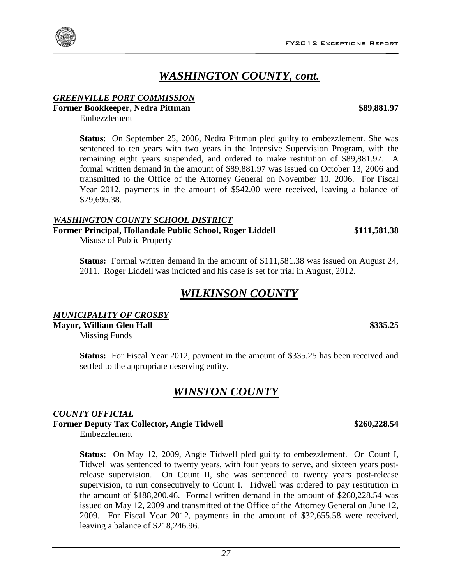### *WASHINGTON COUNTY, cont.*

#### *GREENVILLE PORT COMMISSION*

**Former Bookkeeper, Nedra Pittman 1989, 1991 1992 <b>1993 1994 1995 1996 1996 1996 1996 1996 1996 1996 1996 1996 1996 1996 1996 1996 1996 1996 1996 1996 1996 1996 1996 1996** Embezzlement

**Status**: On September 25, 2006, Nedra Pittman pled guilty to embezzlement. She was sentenced to ten years with two years in the Intensive Supervision Program, with the remaining eight years suspended, and ordered to make restitution of \$89,881.97. A formal written demand in the amount of \$89,881.97 was issued on October 13, 2006 and transmitted to the Office of the Attorney General on November 10, 2006. For Fiscal Year 2012, payments in the amount of \$542.00 were received, leaving a balance of \$79,695.38.

#### *WASHINGTON COUNTY SCHOOL DISTRICT*

#### **Former Principal, Hollandale Public School, Roger Liddell \$111,581.38** Misuse of Public Property

**Status:** Formal written demand in the amount of \$111,581.38 was issued on August 24, 2011. Roger Liddell was indicted and his case is set for trial in August, 2012.

### *WILKINSON COUNTY*

#### *MUNICIPALITY OF CROSBY*

**Mayor, William Glen Hall \$335.25** Missing Funds

**Status:** For Fiscal Year 2012, payment in the amount of \$335.25 has been received and settled to the appropriate deserving entity.

### *WINSTON COUNTY*

#### *COUNTY OFFICIAL*

**Former Deputy Tax Collector, Angie Tidwell** \$260,228.54

Embezzlement

**Status:** On May 12, 2009, Angie Tidwell pled guilty to embezzlement. On Count I, Tidwell was sentenced to twenty years, with four years to serve, and sixteen years postrelease supervision. On Count II, she was sentenced to twenty years post-release supervision, to run consecutively to Count I. Tidwell was ordered to pay restitution in the amount of \$188,200.46. Formal written demand in the amount of \$260,228.54 was issued on May 12, 2009 and transmitted of the Office of the Attorney General on June 12, 2009. For Fiscal Year 2012, payments in the amount of \$32,655.58 were received, leaving a balance of \$218,246.96.

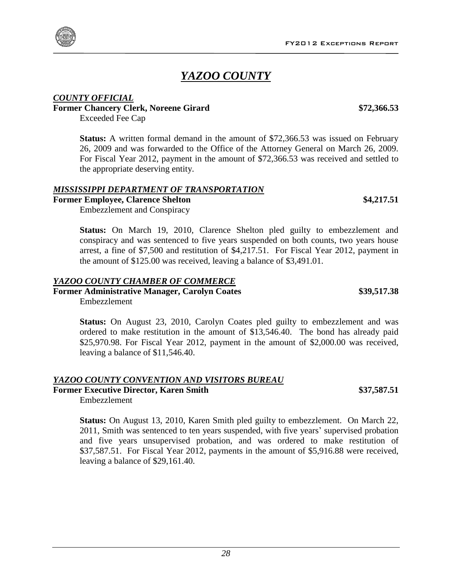### *YAZOO COUNTY*

### *COUNTY OFFICIAL*

### **Former Chancery Clerk, Noreene Girard \$72,366.53**

Exceeded Fee Cap

**Status:** A written formal demand in the amount of \$72,366.53 was issued on February 26, 2009 and was forwarded to the Office of the Attorney General on March 26, 2009. For Fiscal Year 2012, payment in the amount of \$72,366.53 was received and settled to the appropriate deserving entity.

#### *MISSISSIPPI DEPARTMENT OF TRANSPORTATION*

#### **Former Employee, Clarence Shelton \$4,217.51**

Embezzlement and Conspiracy

**Status:** On March 19, 2010, Clarence Shelton pled guilty to embezzlement and conspiracy and was sentenced to five years suspended on both counts, two years house arrest, a fine of \$7,500 and restitution of \$4,217.51. For Fiscal Year 2012, payment in the amount of \$125.00 was received, leaving a balance of \$3,491.01.

#### *YAZOO COUNTY CHAMBER OF COMMERCE*

**Former Administrative Manager, Carolyn Coates \$39,517.38** Embezzlement

**Status:** On August 23, 2010, Carolyn Coates pled guilty to embezzlement and was ordered to make restitution in the amount of \$13,546.40. The bond has already paid \$25,970.98. For Fiscal Year 2012, payment in the amount of \$2,000.00 was received, leaving a balance of \$11,546.40.

#### *YAZOO COUNTY CONVENTION AND VISITORS BUREAU*

#### **Former Executive Director, Karen Smith \$37,587.51**

Embezzlement

**Status:** On August 13, 2010, Karen Smith pled guilty to embezzlement. On March 22, 2011, Smith was sentenced to ten years suspended, with five years' supervised probation and five years unsupervised probation, and was ordered to make restitution of \$37,587.51. For Fiscal Year 2012, payments in the amount of \$5,916.88 were received, leaving a balance of \$29,161.40.

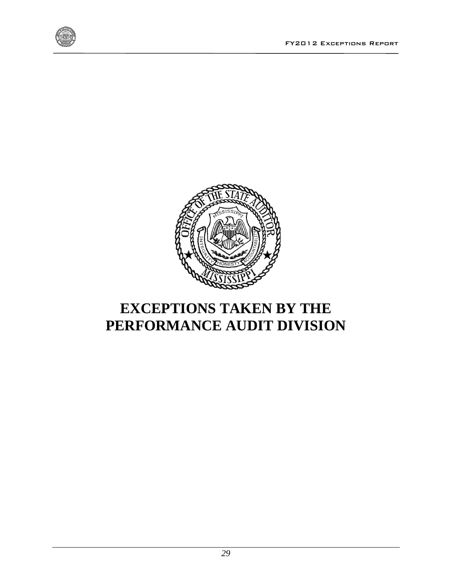





## **EXCEPTIONS TAKEN BY THE PERFORMANCE AUDIT DIVISION**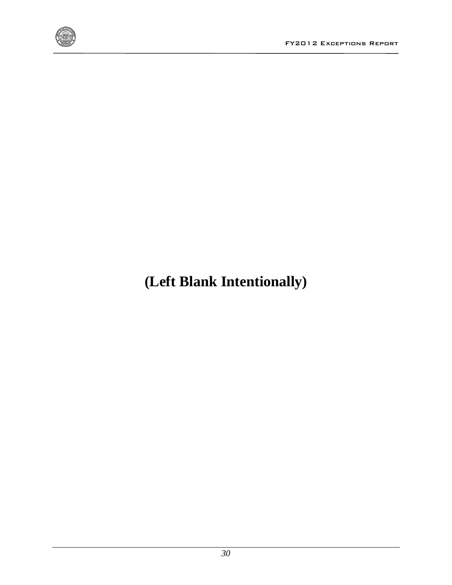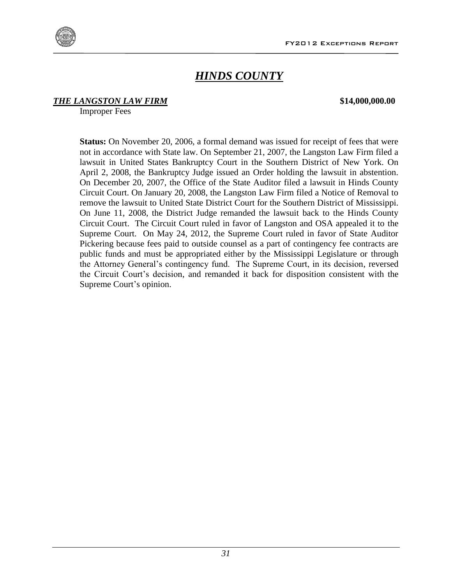

### *HINDS COUNTY*

#### *THE LANGSTON LAW FIRM* **\$14,000,000.00**

Improper Fees

**Status:** On November 20, 2006, a formal demand was issued for receipt of fees that were not in accordance with State law. On September 21, 2007, the Langston Law Firm filed a lawsuit in United States Bankruptcy Court in the Southern District of New York. On April 2, 2008, the Bankruptcy Judge issued an Order holding the lawsuit in abstention. On December 20, 2007, the Office of the State Auditor filed a lawsuit in Hinds County Circuit Court. On January 20, 2008, the Langston Law Firm filed a Notice of Removal to remove the lawsuit to United State District Court for the Southern District of Mississippi. On June 11, 2008, the District Judge remanded the lawsuit back to the Hinds County Circuit Court. The Circuit Court ruled in favor of Langston and OSA appealed it to the Supreme Court. On May 24, 2012, the Supreme Court ruled in favor of State Auditor Pickering because fees paid to outside counsel as a part of contingency fee contracts are public funds and must be appropriated either by the Mississippi Legislature or through the Attorney General's contingency fund. The Supreme Court, in its decision, reversed the Circuit Court's decision, and remanded it back for disposition consistent with the Supreme Court's opinion.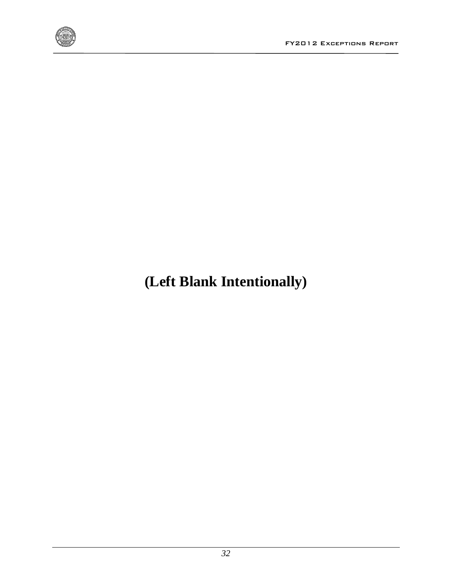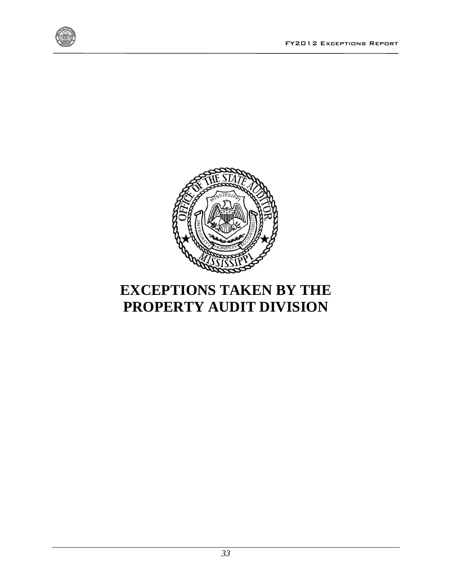





## **EXCEPTIONS TAKEN BY THE PROPERTY AUDIT DIVISION**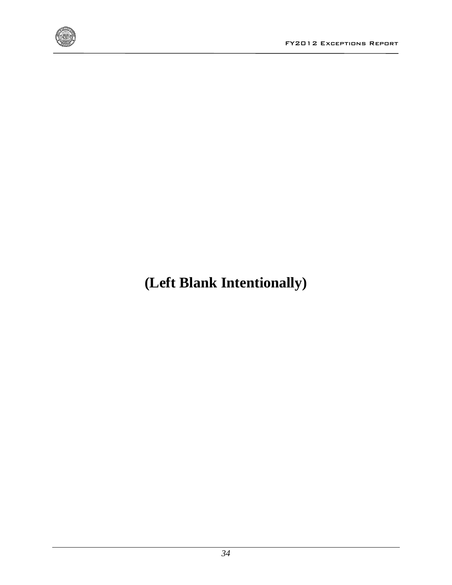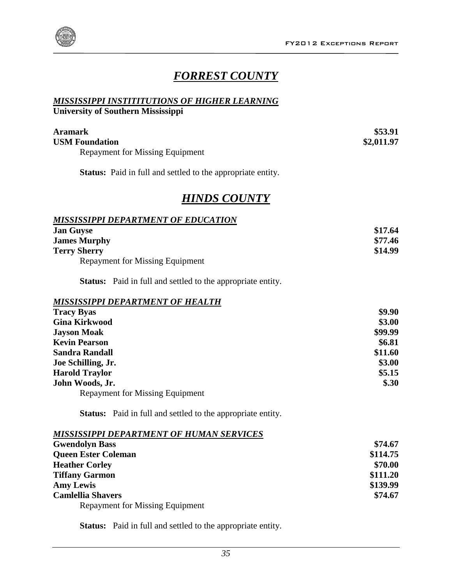

## *FORREST COUNTY*

### *MISSISSIPPI INSTITITUTIONS OF HIGHER LEARNING*

**University of Southern Mississippi**

| <b>Aramark</b>                                                     | \$53.91    |
|--------------------------------------------------------------------|------------|
| <b>USM Foundation</b>                                              | \$2,011.97 |
| <b>Repayment for Missing Equipment</b>                             |            |
| <b>Status:</b> Paid in full and settled to the appropriate entity. |            |
| <u>HINDS COUNTY</u>                                                |            |
| <b>MISSISSIPPI DEPARTMENT OF EDUCATION</b>                         |            |
| <b>Jan Guyse</b>                                                   | \$17.64    |
| <b>James Murphy</b>                                                | \$77.46    |
| <b>Terry Sherry</b>                                                | \$14.99    |
| <b>Repayment for Missing Equipment</b>                             |            |
| <b>Status:</b> Paid in full and settled to the appropriate entity. |            |
| MISSISSIPPI DEPARTMENT OF HEALTH                                   |            |
| <b>Tracy Byas</b>                                                  | \$9.90     |
| <b>Gina Kirkwood</b>                                               | \$3.00     |
| <b>Jayson Moak</b>                                                 | \$99.99    |
| <b>Kevin Pearson</b>                                               | \$6.81     |
| <b>Sandra Randall</b>                                              | \$11.60    |
| Joe Schilling, Jr.                                                 | \$3.00     |
| <b>Harold Traylor</b>                                              | \$5.15     |
| John Woods, Jr.                                                    | \$.30      |
| <b>Repayment for Missing Equipment</b>                             |            |
| <b>Status:</b> Paid in full and settled to the appropriate entity. |            |
| <b>MISSISSIPPI DEPARTMENT OF HUMAN SERVICES</b>                    |            |
| <b>Gwendolyn Bass</b>                                              | \$74.67    |
| <b>Queen Ester Coleman</b>                                         | \$114.75   |
| <b>Heather Corley</b>                                              | \$70.00    |
| <b>Tiffany Garmon</b>                                              | \$111.20   |
| <b>Amy Lewis</b>                                                   | \$139.99   |
| <b>Camlellia Shavers</b>                                           | \$74.67    |
| <b>Repayment for Missing Equipment</b>                             |            |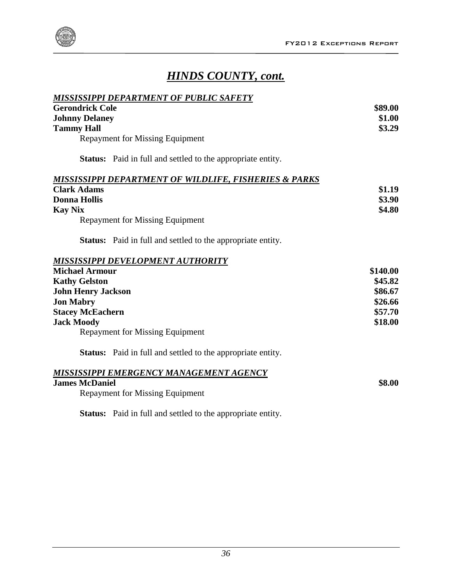

### *HINDS COUNTY, cont.*

### *MISSISSIPPI DEPARTMENT OF PUBLIC SAFETY* **Gerondrick Cole \$89.00 Johnny Delaney \$1.00 Tammy Hall** \$3.29 Repayment for Missing Equipment **Status:** Paid in full and settled to the appropriate entity. *MISSISSIPPI DEPARTMENT OF WILDLIFE, FISHERIES & PARKS* **Clark Adams \$1.19 Donna Hollis \$3.90 Kay Nix \$4.80** Repayment for Missing Equipment **Status:** Paid in full and settled to the appropriate entity. *MISSISSIPPI DEVELOPMENT AUTHORITY* **Michael Armour \$140.00 Kathy Gelston \$45.82 John Henry Jackson \$86.67 Jon Mabry \$26.66 Stacey McEachern \$57.70**

**Jack Moody \$18.00** Repayment for Missing Equipment

**Status:** Paid in full and settled to the appropriate entity.

| MISSISSIPPI EMERGENCY MANAGEMENT AGENCY |        |
|-----------------------------------------|--------|
| <b>James McDaniel</b>                   | \$8.00 |
| Repayment for Missing Equipment         |        |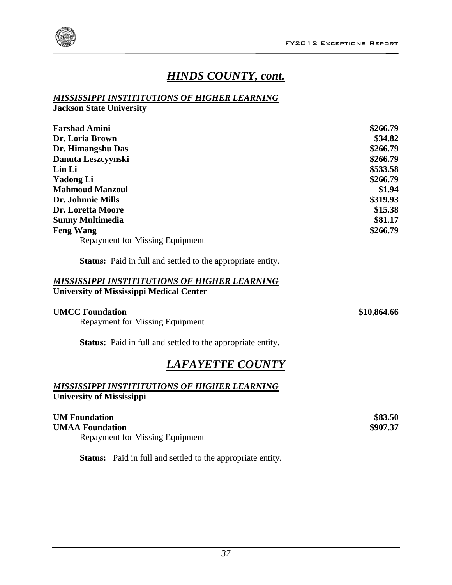

### *HINDS COUNTY, cont.*

#### *MISSISSIPPI INSTITITUTIONS OF HIGHER LEARNING*

**Jackson State University**

| <b>Farshad Amini</b>                   | \$266.79 |
|----------------------------------------|----------|
| Dr. Loria Brown                        | \$34.82  |
| Dr. Himangshu Das                      | \$266.79 |
| Danuta Leszcyynski                     | \$266.79 |
| Lin Li                                 | \$533.58 |
| <b>Yadong Li</b>                       | \$266.79 |
| <b>Mahmoud Manzoul</b>                 | \$1.94   |
| Dr. Johnnie Mills                      | \$319.93 |
| Dr. Loretta Moore                      | \$15.38  |
| <b>Sunny Multimedia</b>                | \$81.17  |
| <b>Feng Wang</b>                       | \$266.79 |
| <b>Repayment for Missing Equipment</b> |          |

**Status:** Paid in full and settled to the appropriate entity.

#### *MISSISSIPPI INSTITITUTIONS OF HIGHER LEARNING* **University of Mississippi Medical Center**

#### **UMCC Foundation \$10,864.66**

Repayment for Missing Equipment

**Status:** Paid in full and settled to the appropriate entity.

### *LAFAYETTE COUNTY*

#### *MISSISSIPPI INSTITITUTIONS OF HIGHER LEARNING*

**University of Mississippi**

### **UM Foundation \$83.50 UMAA Foundation \$907.37** Repayment for Missing Equipment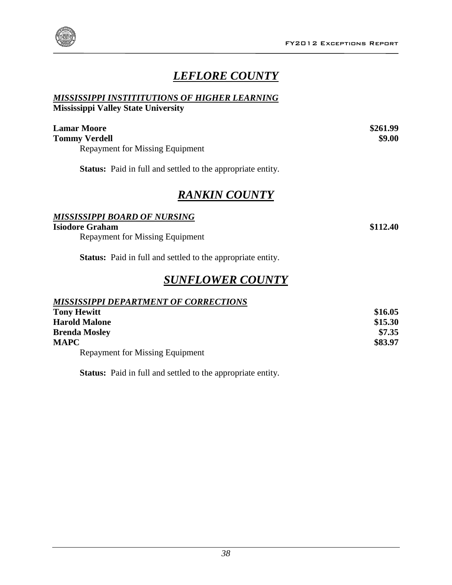

## *LEFLORE COUNTY*

### *MISSISSIPPI INSTITITUTIONS OF HIGHER LEARNING*

**Mississippi Valley State University**

| <b>Lamar Moore</b><br><b>Tommy Verdell</b>                         | \$261.99<br>\$9.00 |
|--------------------------------------------------------------------|--------------------|
| <b>Repayment for Missing Equipment</b>                             |                    |
| <b>Status:</b> Paid in full and settled to the appropriate entity. |                    |
| <b>RANKIN COUNTY</b>                                               |                    |
| <b>MISSISSIPPI BOARD OF NURSING</b>                                |                    |
| <b>Isiodore Graham</b><br><b>Repayment for Missing Equipment</b>   | \$112.40           |
| <b>Status:</b> Paid in full and settled to the appropriate entity. |                    |
| <b>SUNFLOWER COUNTY</b>                                            |                    |
| MISSISSIPPI DEPARTMENT OF CORRECTIONS                              |                    |
| <b>Tony Hewitt</b>                                                 | \$16.05            |
| <b>Harold Malone</b>                                               | \$15.30            |

**Brenda Mosley \$7.35**<br> **MAPC** \$83.97 **MAPC \$83.97** Repayment for Missing Equipment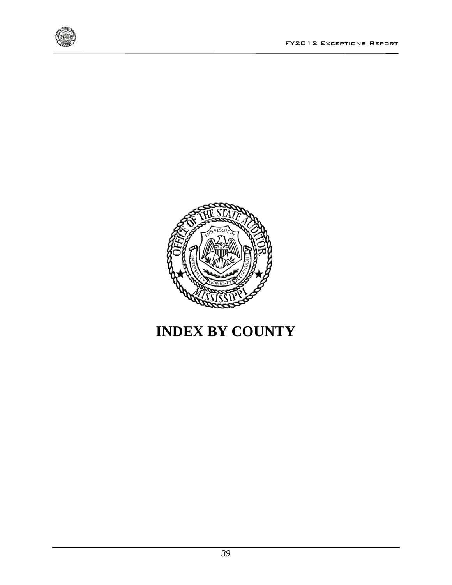



## **INDEX BY COUNTY**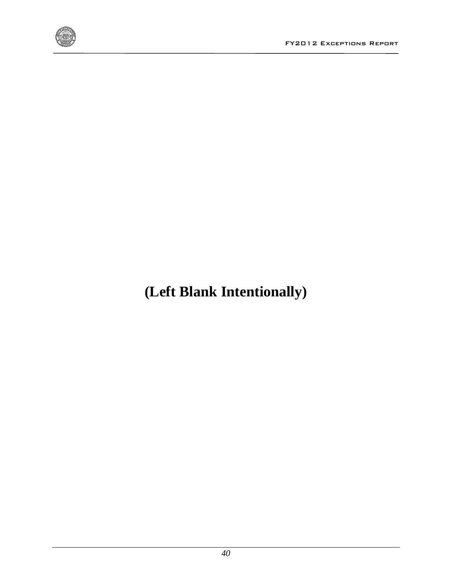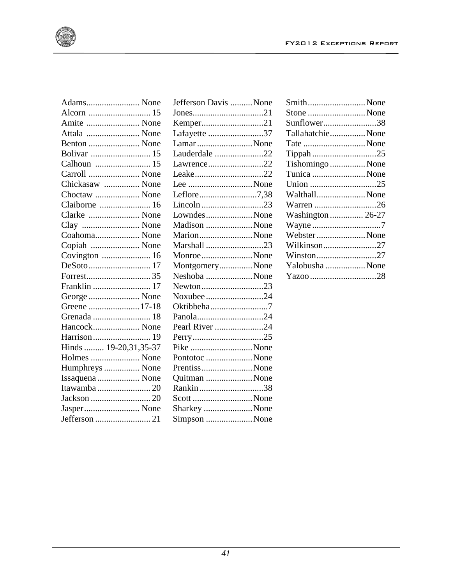



| Adams None            |  |
|-----------------------|--|
|                       |  |
| Amite  None           |  |
| Attala  None          |  |
| Benton  None          |  |
|                       |  |
|                       |  |
| Carroll  None         |  |
| Chickasaw  None       |  |
| Choctaw  None         |  |
| Claiborne  16         |  |
| Clarke  None          |  |
| Clay  None            |  |
| Coahoma None          |  |
| Copiah  None          |  |
|                       |  |
|                       |  |
|                       |  |
| Franklin  17          |  |
| George  None          |  |
| Greene  17-18         |  |
| Grenada  18           |  |
| Hancock None          |  |
| Harrison 19           |  |
| Hinds  19-20,31,35-37 |  |
| Holmes  None          |  |
| Humphreys  None       |  |
| Issaquena  None       |  |
|                       |  |
|                       |  |
| Jasper None           |  |
|                       |  |

| Jefferson Davis None |  |
|----------------------|--|
|                      |  |
| Kemper21             |  |
| Lafayette 37         |  |
| Lamar None           |  |
| Lauderdale 22        |  |
| Lawrence22           |  |
|                      |  |
| Lee None             |  |
|                      |  |
|                      |  |
| LowndesNone          |  |
| Madison None         |  |
| MarionNone           |  |
| Marshall 23          |  |
| MonroeNone           |  |
| MontgomeryNone       |  |
| Neshoba None         |  |
| Newton23             |  |
| Noxubee 24           |  |
| Oktibbeha7           |  |
|                      |  |
| Pearl River 24       |  |
|                      |  |
| Pike None            |  |
| Pontotoc None        |  |
| PrentissNone         |  |
| Quitman None         |  |
| Rankin38             |  |
| Scott None           |  |
| Sharkey None         |  |
| Simpson None         |  |

| SmithNone         |  |
|-------------------|--|
| Stone None        |  |
| Sunflower38       |  |
| TallahatchieNone  |  |
| Tate None         |  |
|                   |  |
| Tishomingo  None  |  |
| Tunica None       |  |
|                   |  |
| WalthallNone      |  |
|                   |  |
| Washington  26-27 |  |
|                   |  |
| WebsterNone       |  |
| Wilkinson27       |  |
|                   |  |
|                   |  |
| Yalobusha None    |  |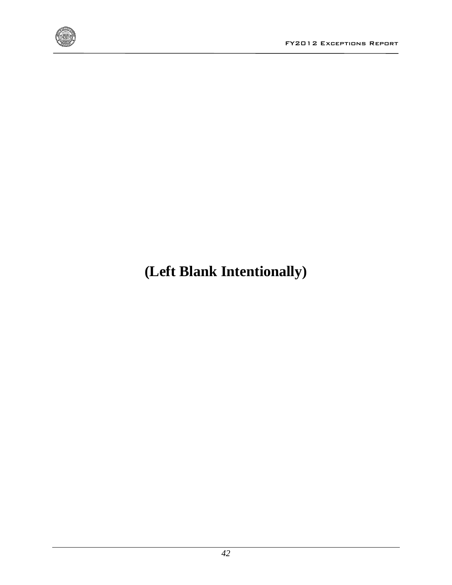